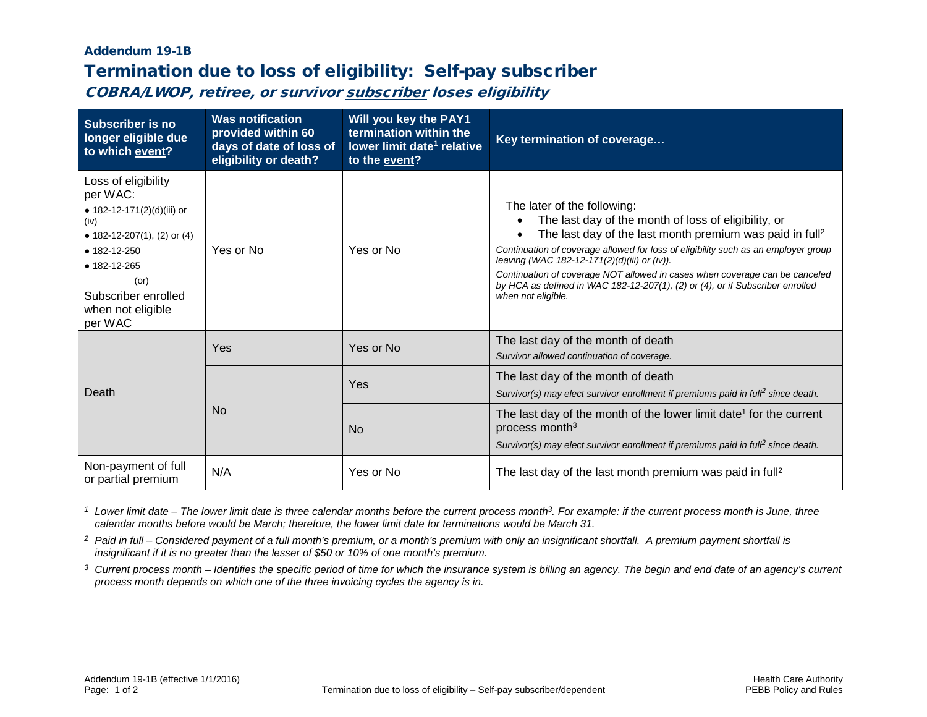## Addendum 19-1B

## Termination due to loss of eligibility: Self-pay subscriber

COBRA/LWOP, retiree, or survivor subscriber loses eligibility

| <b>Subscriber is no</b><br>longer eligible due<br>to which event?                                                                                                                                         | <b>Was notification</b><br>provided within 60<br>days of date of loss of<br>eligibility or death? | Will you key the PAY1<br>termination within the<br>lower limit date <sup>1</sup> relative<br>to the event? | Key termination of coverage                                                                                                                                                                                                                                                                                                                                                                                                                                                             |
|-----------------------------------------------------------------------------------------------------------------------------------------------------------------------------------------------------------|---------------------------------------------------------------------------------------------------|------------------------------------------------------------------------------------------------------------|-----------------------------------------------------------------------------------------------------------------------------------------------------------------------------------------------------------------------------------------------------------------------------------------------------------------------------------------------------------------------------------------------------------------------------------------------------------------------------------------|
| Loss of eligibility<br>per WAC:<br>• 182-12-171(2)(d)(iii) or<br>(iv)<br>• 182-12-207(1), (2) or (4)<br>• 182-12-250<br>• 182-12-265<br>$($ or $)$<br>Subscriber enrolled<br>when not eligible<br>per WAC | Yes or No                                                                                         | Yes or No                                                                                                  | The later of the following:<br>The last day of the month of loss of eligibility, or<br>The last day of the last month premium was paid in full <sup>2</sup><br>Continuation of coverage allowed for loss of eligibility such as an employer group<br>leaving (WAC 182-12-171(2)(d)(iii) or (iv)).<br>Continuation of coverage NOT allowed in cases when coverage can be canceled<br>by HCA as defined in WAC 182-12-207(1), (2) or (4), or if Subscriber enrolled<br>when not eligible. |
| Death                                                                                                                                                                                                     | Yes                                                                                               | Yes or No                                                                                                  | The last day of the month of death<br>Survivor allowed continuation of coverage.                                                                                                                                                                                                                                                                                                                                                                                                        |
|                                                                                                                                                                                                           | N <sub>o</sub>                                                                                    | Yes                                                                                                        | The last day of the month of death<br>Survivor(s) may elect survivor enrollment if premiums paid in full <sup>2</sup> since death.                                                                                                                                                                                                                                                                                                                                                      |
|                                                                                                                                                                                                           |                                                                                                   | <b>No</b>                                                                                                  | The last day of the month of the lower limit date <sup>1</sup> for the current<br>process month <sup>3</sup><br>Survivor(s) may elect survivor enrollment if premiums paid in full <sup>2</sup> since death.                                                                                                                                                                                                                                                                            |
| Non-payment of full<br>or partial premium                                                                                                                                                                 | N/A                                                                                               | Yes or No                                                                                                  | The last day of the last month premium was paid in full <sup>2</sup>                                                                                                                                                                                                                                                                                                                                                                                                                    |

*<sup>1</sup> Lower limit date – The lower limit date is three calendar months before the current process month3. For example: if the current process month is June, three calendar months before would be March; therefore, the lower limit date for terminations would be March 31.*

*<sup>2</sup> Paid in full – Considered payment of a full month's premium, or a month's premium with only an insignificant shortfall. A premium payment shortfall is insignificant if it is no greater than the lesser of \$50 or 10% of one month's premium.*

<sup>3</sup> Current process month – Identifies the specific period of time for which the insurance system is billing an agency. The begin and end date of an agency's current *process month depends on which one of the three invoicing cycles the agency is in.*